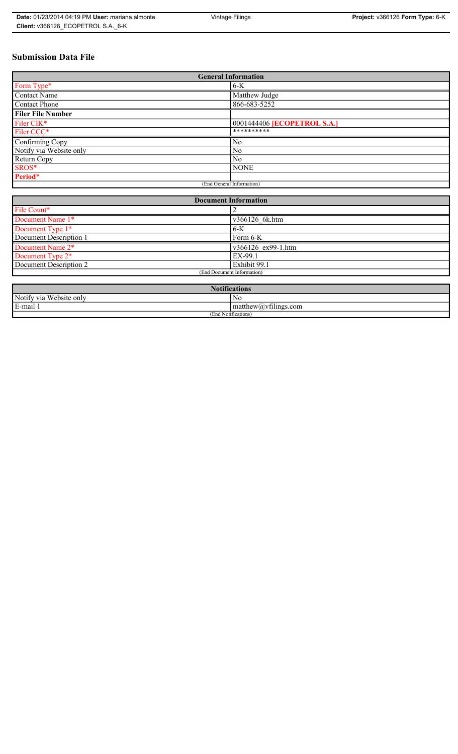# **Submission Data File**

| <b>General Information</b> |                                    |  |
|----------------------------|------------------------------------|--|
| Form Type*                 | $6-K$                              |  |
| <b>Contact Name</b>        | Matthew Judge                      |  |
| <b>Contact Phone</b>       | 866-683-5252                       |  |
| <b>Filer File Number</b>   |                                    |  |
| Filer CIK*                 | 0001444406 <b>[ECOPETROL S.A.]</b> |  |
| Filer CCC*                 | **********                         |  |
| Confirming Copy            | No                                 |  |
| Notify via Website only    | N <sub>0</sub>                     |  |
| Return Copy                | N <sub>0</sub>                     |  |
| SROS*                      | <b>NONE</b>                        |  |
| Period*                    |                                    |  |
| (End General Information)  |                                    |  |

| <b>Document Information</b>  |                    |  |
|------------------------------|--------------------|--|
| File Count*                  |                    |  |
| Document Name 1*             | v366126 6k.htm     |  |
| Document Type 1*             | $6-K$              |  |
| Document Description 1       | Form 6-K           |  |
| Document Name 2*             | v366126 ex99-1.htm |  |
| Document Type 2 <sup>*</sup> | EX-99.1            |  |
| Document Description 2       | Exhibit 99.1       |  |
| (End Document Information)   |                    |  |
|                              |                    |  |

| <b>Notifications</b>    |                      |  |
|-------------------------|----------------------|--|
| Notify via Website only | NG                   |  |
| E-mail 1                | matthew@vfilings.com |  |
| (End Notifications)     |                      |  |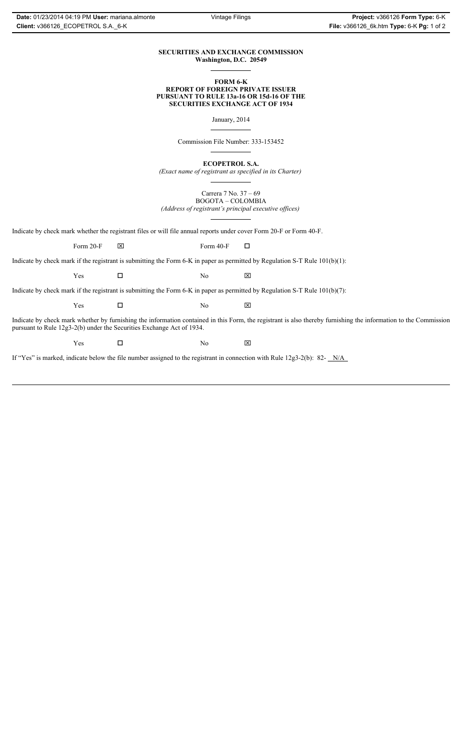## **SECURITIES AND EXCHANGE COMMISSION Washington, D.C. 20549**

### **FORM 6-K REPORT OF FOREIGN PRIVATE ISSUER PURSUANT TO RULE 13a-16 OR 15d-16 OF THE SECURITIES EXCHANGE ACT OF 1934**

January, 2014

Commission File Number: 333-153452

**ECOPETROL S.A.**

*(Exact name of registrant as specified in its Charter)*

Carrera 7 No. 37 – 69 BOGOTA – COLOMBIA *(Address of registrant's principal executive offices)*

Indicate by check mark whether the registrant files or will file annual reports under cover Form 20-F or Form 40-F.

Form 20-F  $\boxtimes$  Form 40-F  $\Box$ 

Indicate by check mark if the registrant is submitting the Form 6-K in paper as permitted by Regulation S-T Rule 101(b)(1):

 $Yes$   $\Box$  No  $X$ 

Indicate by check mark if the registrant is submitting the Form 6-K in paper as permitted by Regulation S-T Rule 101(b)(7):

 $Yes$   $\Box$  No  $X$ 

Indicate by check mark whether by furnishing the information contained in this Form, the registrant is also thereby furnishing the information to the Commission pursuant to Rule 12g3-2(b) under the Securities Exchange Act of 1934.

 $Yes$   $\Box$  No  $X$ 

If "Yes" is marked, indicate below the file number assigned to the registrant in connection with Rule 12g3-2(b): 82- N/A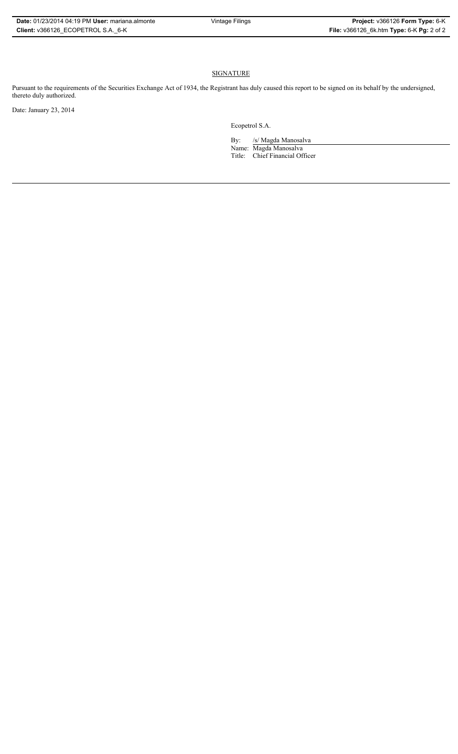# **SIGNATURE**

Pursuant to the requirements of the Securities Exchange Act of 1934, the Registrant has duly caused this report to be signed on its behalf by the undersigned, thereto duly authorized.

Date: January 23, 2014

Ecopetrol S.A.

By: /s/ Magda Manosalva Name: Magda Manosalva Title: Chief Financial Officer